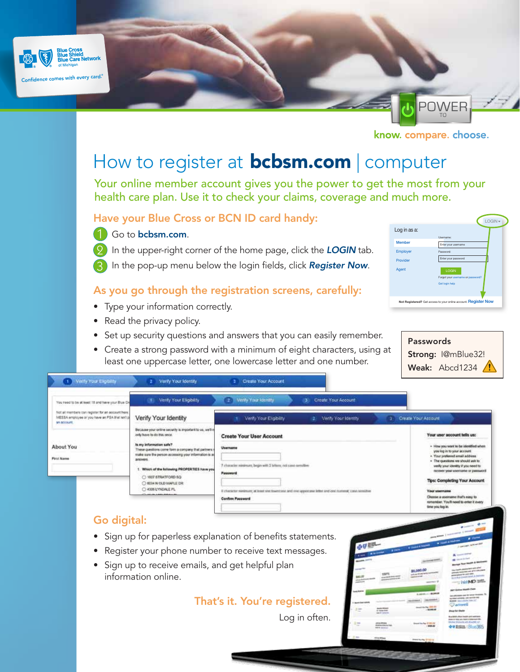



know. compare. choose.

# How to register at **[bcbsm.com](http://bcbsm.com/?utm_source=Flier&utm_campaign=GA_101306&utm_medium=PDF&utm_content=English)** | computer

Your online member account gives you the power to get the most from your health care plan. Use it to check your claims, coverage and much more.

#### Have your Blue Cross or BCN ID card handy:

1 Go to [bcbsm.com](http://bcbsm.com/?utm_source=Flier&utm_campaign=GA_101306&utm_medium=PDF&utm_content=English).

2 In the upper-right corner of the home page, click the LOGIN tab. In the pop-up menu below the login fields, click *Register Now*. 3

### As you go through the registration screens, carefully:

- Type your information correctly.
- Read the privacy policy.
- Set up security questions and answers that you can easily remember.
- Create a strong password with a minimum of eight characters, using at least one uppercase letter, one lowercase letter and one number.

|                 |                                                                     | $LOGIN \rightarrow$ |
|-----------------|---------------------------------------------------------------------|---------------------|
| Log in as a:    |                                                                     |                     |
| <b>Member</b>   | Lisername:<br>Enter your username                                   |                     |
| <b>Employer</b> | Password:                                                           |                     |
| Provider        | Enter your password                                                 |                     |
| Agent           | <b>LOGIN</b><br>Forgot your username or password?<br>Get login help |                     |
|                 | Not Registered? Get access to your online account. Register Now     |                     |

Passwords Strong: I@mBlue32! Weak: Abcd1234  $\sqrt{!}$ 

| Verify Your Eligibility<br>69                                                                                                                                                                                                                                                        | Verify Your Identity<br>2.                                                             | <b>Create Your Account</b><br>31                                                                                                  |                            |               |                                                                                                                                                                                                                                                                 |                                                                                      |                                                                                                                                                                                                  |
|--------------------------------------------------------------------------------------------------------------------------------------------------------------------------------------------------------------------------------------------------------------------------------------|----------------------------------------------------------------------------------------|-----------------------------------------------------------------------------------------------------------------------------------|----------------------------|---------------|-----------------------------------------------------------------------------------------------------------------------------------------------------------------------------------------------------------------------------------------------------------------|--------------------------------------------------------------------------------------|--------------------------------------------------------------------------------------------------------------------------------------------------------------------------------------------------|
| You need to be at least 18 and have your Blue Dr.                                                                                                                                                                                                                                    | Verify Your Eligibility<br>CO.                                                         | Verify Your Identity<br>12.1                                                                                                      | Create Your Account<br>-31 |               |                                                                                                                                                                                                                                                                 |                                                                                      |                                                                                                                                                                                                  |
| hipt ail members tan ingister for an account here.<br>MESSA employee or you have an FSA that lan't p<br><b>SA BEESURE</b>                                                                                                                                                            | Verify Your Identity                                                                   | Verify Your Eligibility                                                                                                           | Verly Your Identity        |               |                                                                                                                                                                                                                                                                 | 3 Create Your Ascount                                                                |                                                                                                                                                                                                  |
|                                                                                                                                                                                                                                                                                      | Because your online security is important to us, we'll n<br>anly have to do this ance. | <b>Create Your User Account</b>                                                                                                   |                            |               |                                                                                                                                                                                                                                                                 |                                                                                      | Your user account tells us:                                                                                                                                                                      |
| is my information safe?<br>About You<br>These questions come farm a company that partners<br>make sure the person accessing your information is a<br><b>First Name</b><br>antwors.<br>1. Which of the following PROPERTIES have you<br>C: 1607 STRATFORD SQ<br>O 6034 N OLD MAPLE DR | Username<br>7 character nanimum; begin with 2 letters; not cand-semitive:<br>Password  |                                                                                                                                   |                            |               | - How you want to be identified when<br>you log in to your account.<br>. Your preferred email address<br>. The questions we should ask to<br>verify your identity if you need to<br>nocever your unemanter or password.<br><b>Tips: Completing Your Account</b> |                                                                                      |                                                                                                                                                                                                  |
|                                                                                                                                                                                                                                                                                      | C 4306 LYNDALE PL                                                                      | Il character marizours; at least one towercove and one upporcase letter and one numerat; cash nontrime<br><b>Confirm Password</b> |                            |               |                                                                                                                                                                                                                                                                 | <b>Your username</b><br>time you kep in.                                             | Choose a username that's easy to<br>ramamber. You'll need to enter it every                                                                                                                      |
| Go digital:                                                                                                                                                                                                                                                                          |                                                                                        |                                                                                                                                   |                            |               |                                                                                                                                                                                                                                                                 |                                                                                      | $\bullet \longrightarrow \bullet \longrightarrow$                                                                                                                                                |
|                                                                                                                                                                                                                                                                                      | • Sign up for paperless explanation of benefits statements.                            |                                                                                                                                   |                            | <b>AU EBL</b> |                                                                                                                                                                                                                                                                 |                                                                                      | and in case of the local division in the<br>La del art 20                                                                                                                                        |
|                                                                                                                                                                                                                                                                                      | Register your phone number to receive text messages.                                   |                                                                                                                                   |                            |               |                                                                                                                                                                                                                                                                 |                                                                                      | <b>CARD TO</b><br>A contact of                                                                                                                                                                   |
|                                                                                                                                                                                                                                                                                      | • Sign up to receive emails, and get helpful plan<br>information online.               |                                                                                                                                   |                            |               |                                                                                                                                                                                                                                                                 | 15,080.00<br>Front AT any write warm as                                              | <b>M</b> Garden School<br><b>Name of Street Or</b><br>policies constraint art of three parts<br>promotes by pay you.<br>the of their covered bands & interest<br><b>INVAD SIGN</b>               |
|                                                                                                                                                                                                                                                                                      |                                                                                        | That's it. You're registered.                                                                                                     |                            |               | <b><i><u>CARD RESIDENTS</u></i></b><br>p case into                                                                                                                                                                                                              | <b>A ROSE-LINESE</b><br><b>CONTRACTOR</b><br><b>Analyzing ERR PE</b><br>$-11.098.08$ | part footing massive Class<br>the photograph cards for lasting threesees.<br>to their private, you send a net<br><b>WARREN STATE FOR THE TIME OF</b><br><b>O</b> amwell<br><b>Blog for their</b> |
|                                                                                                                                                                                                                                                                                      |                                                                                        |                                                                                                                                   | Log in often.              |               | <b>STORY AND COLLECT</b>                                                                                                                                                                                                                                        | <b>South Pacific STAR DE</b><br>555.00                                               | <b>La constitution in the constitution</b><br>players do replay april, handed by the players and side.<br>Michael Showichi Afr. Box 502, 107<br><b>B-M Breton: 1 P.L. JA 365</b>                 |